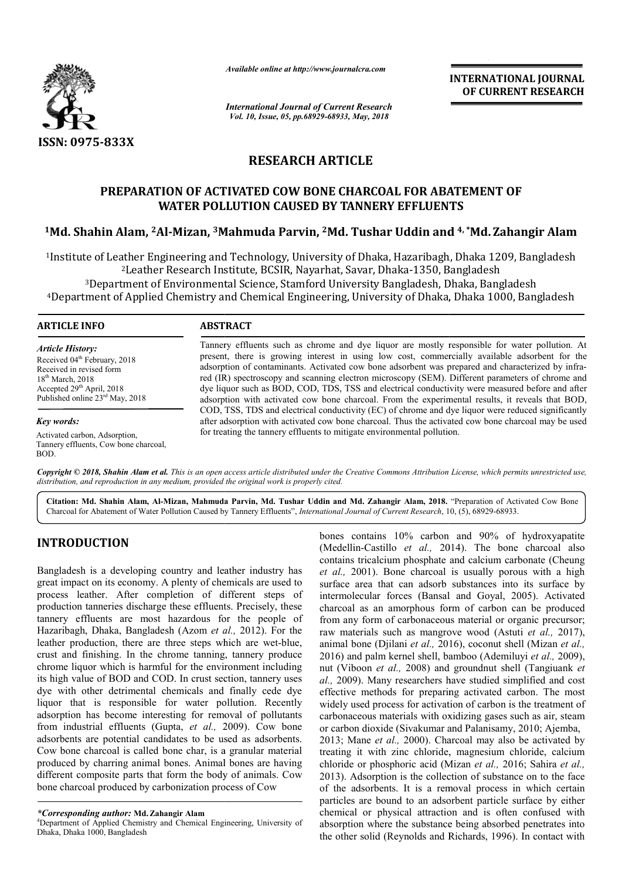

*Available online at http://www.journalcra.com*

*International Journal of Current Research Vol. 10, Issue, 05, pp.68929-68933, May, 2018*

**INTERNATIONAL JOURNAL OF CURRENT RESEARCH**

# **RESEARCH ARTICLE**

# **PREPARATION OF ACTIVATED COW BONE CHARCOAL FOR ABATEMENT OF ABATEMENT OF WATER POLLUTION CAUSED BY TANNERY EFFLUENTS**

# WATER POLLUTION CAUSED BY TANNERY EFFLUENTS<br><sup>1</sup>Md. Shahin Alam, <sup>2</sup>Al-Mizan, <sup>3</sup>Mahmuda Parvin, <sup>2</sup>Md. Tushar Uddin and <sup>4,</sup> \*Md. Zahangir Alam

1Institute of Leather Engineering and Technology, University of Dhaka, Hazaribagh, Dhaka 1209, Bangladesh Institute Leather Dhaka-1350, Bangladesh 2Leather Research Institute, BCSIR, Nayarhat, Savar, Dhaka <sup>3</sup>Department of Environmental Science, Stamford University Bangladesh, Dhaka, Bangladesh Institute of Leather Engineering and Technology, University of Dhaka, Hazaribagh, Dhaka 1209, Bangladesh<sup>2</sup>Leather Research Institute, BCSIR, Nayarhat, Savar, Dhaka-1350, Bangladesh<br>3Department of Environmental Science, St

### **ARTICLE INFO ABSTRACT**

*Article History:* Received 04<sup>th</sup> February, 2018 Received in revised form 18th March, 2018 Accepted 29<sup>th</sup> April, 2018 Published online 23rd May, 2018

*Key words:*

Activated carbon, Adsorption, Tannery effluents, Cow bone charcoal, BOD.

Tannery effluents such as chrome and dye liquor are mostly responsible for water pollution. At present present, there is growing interest in using low cost, commercially available adsorbent for the adsorption of contaminants. Activated cow bone adsorbent was prepared and characterized by infra red (IR) spectroscopy and scanning electron microscopy (SEM). Different parameters of chrome and dye liquor such as BOD, COD, TDS, TSS and electrical conductivity were measured before and after adsorption with activated cow bone charcoal. From the experimental results, it reveals that BOD, COD, TSS, TDS and electrical conductivity (EC) of chrome and dye liquor were reduced significantly after adsorption with activated cow bone charcoal. Thus the activated cow bone charcoal may be used for treating the tannery effluents to mitigate environmental pollution. Tannery effluents such as chrome and dye liquor are mostly responsible for water pollution. At present, there is growing interest in using low cost, commercially available adsorbent for the adsorption of contaminants. Acti red (IR) spectroscopy and scanning electron microscopy (SEM). Different parameters of chrome and<br>dye liquor such as BOD, COD, TDS, TSS and electrical conductivity were measured before and after<br>adsorption with activated co COD, TSS, TDS and electrical conductivity (EC) of chrome<br>after adsorption with activated cow bone charcoal. Thus the<br>for treating the tannery effluents to mitigate environmental p

Copyright © 2018, Shahin Alam et al. This is an open access article distributed under the Creative Commons Attribution License, which permits unrestricted use, *distribution, and reproduction in any medium, provided the original work is properly cited.*

Citation: Md. Shahin Alam, Al-Mizan, Mahmuda Parvin, Md. Tushar Uddin and Md. Zahangir Alam, 2018. "Preparation of Activated Cow Bone Charcoal for Abatement of Water Pollution Caused by Tannery Effluents", *International Journal of Current Research*, 10, (5), 68929-68933.

# **INTRODUCTION**

Bangladesh is a developing country and leather industry has great impact on its economy. A plenty of chemicals are used to process leather. After completion of different steps of production tanneries discharge these effluents. Precisely, these tannery effluents are most hazardous for the people of Hazaribagh, Dhaka, Bangladesh (Azom et al., 2012). For the leather production, there are three steps which are wet-blue, crust and finishing. In the chrome tanning, tannery produce chrome liquor which is harmful for the environment including its high value of BOD and COD. In crust section, tannery uses dye with other detrimental chemicals and finally cede dye liquor that is responsible for water pollution. Recently adsorption has become interesting for removal of pollutants from industrial effluents (Gupta, *et al.,* 2009). Cow bone adsorbents are potential candidates to be used as adsorbents. Cow bone charcoal is called bone char, is a granular material produced by charring animal bones. Animal bones are having different composite parts that form the body of animals. Cow bone charcoal produced by carbonization process of Cow

*\*Corresponding author:* **Md.Zahangir Alam** <sup>4</sup>

Department of Applied Chemistry and Chemical Engineering, University of Dhaka, Dhaka 1000, Bangladesh

**RODUCTION**<br> **EXENCATION** these contains 10% carbon and 90% of hydroxyapatie<br>
(Medellim-Castiillo *et al.*, 2001). Bone charocal as<br>
contains tricalcium phosphate and calcium carbonate (Cheung<br>
impact on its economy. A pl (Medellin-Castillo *et al.,* 2014). The bone charcoal also contains tricalcium phosphate and calcium carbonate (Cheung *et al.,* 2001). Bone charcoal is usually porous with a high surface area that can adsorb substances into its surface by et al., 2001). Bone charcoal is usually porous with a high surface area that can adsorb substances into its surface by intermolecular forces (Bansal and Goyal, 2005). Activated charcoal as an amorphous form of carbon can be produced from any form of carbonaceous material or organic precursor; raw materials such as mangrove wood (Astuti et al., 2017), animal bone (Djilani *et al.,* 2016), coconut shell (Mizan *et al.,*  2016) and palm kernel shell, bamboo (Ademiluyi *et al.,* 2009), nut (Viboon et al., 2008) and groundnut shell (Tangiuank et *al.,* 2009). Many researchers have studied simplified and cost effective methods for preparing activated carbon. The most widely used process for activation of carbon is the treatment of carbonaceous materials with oxidizing gases such as air, steam or carbon dioxide (Sivakumar and Palanisamy, 2010; Ajemba, 2013; Mane *et al.,* 2000). Charcoal may also be activated by treating it with zinc chloride, magnesium chloride, calcium chloride or phosphoric acid (Mizan et al., 2016; Sahira et al., 2013). Adsorption is the collection of substance on to the face of the adsorbents. It is a removal process in which certain particles are bound to an adsorbent particle surface by either chemical or physical attraction and is often confused with absorption where the substance being absorbed penetrates into the other solid (Reynolds and Richards, 1996). In contact with bones contains 10% carbon and 90% of hydroxyapatite charcoal as an amorphous form of carbon can be produced<br>from any form of carbonaceous material or organic precursor;<br>raw materials such as mangrove wood (Astuti *et al.*, 2017), for preparing activated carbon. The most<br>s for activation of carbon is the treatment of<br>rials with oxidizing gases such as air, steam<br>Sivakumar and Palanisamy, 2010; Ajemba, 00). Charcoal may also be activated by chloride, magnesium chloride, calcium *c* acid (Mizan *et al., 2016; Sahira <i>et al.,* 2013). Adsorption is the collection of substance on to the face of the adsorbents. It is a removal process in which certain particles are bound to an adsorbent particle surface by either chemical or physical attraction and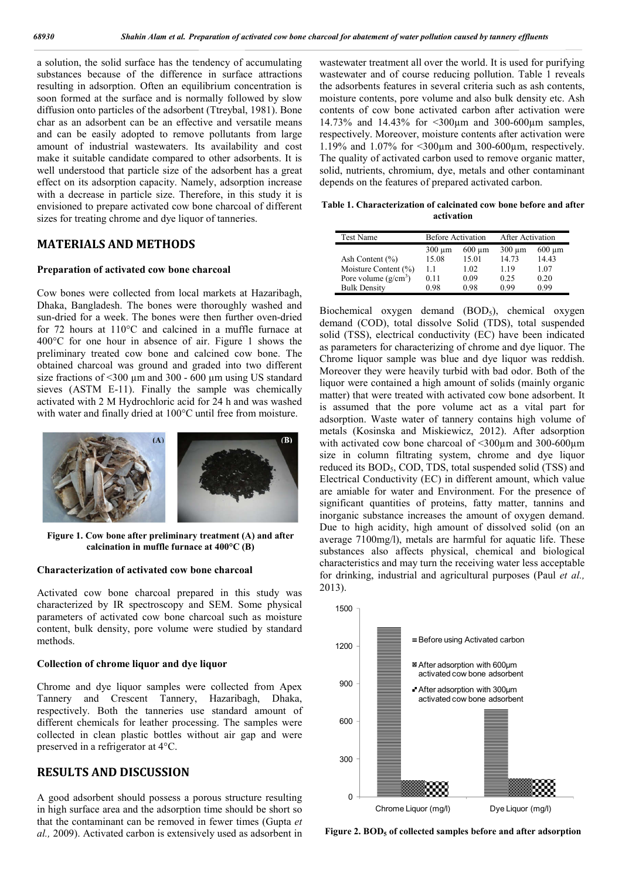a solution, the solid surface has the tendency of accumulating substances because of the difference in surface attractions resulting in adsorption. Often an equilibrium concentration is soon formed at the surface and is normally followed by slow diffusion onto particles of the adsorbent (Ttreybal, 1981). Bone char as an adsorbent can be an effective and versatile means and can be easily adopted to remove pollutants from large amount of industrial wastewaters. Its availability and cost make it suitable candidate compared to other adsorbents. It is well understood that particle size of the adsorbent has a great effect on its adsorption capacity. Namely, adsorption increase with a decrease in particle size. Therefore, in this study it is envisioned to prepare activated cow bone charcoal of different sizes for treating chrome and dye liquor of tanneries.

# **MATERIALS AND METHODS**

#### **Preparation of activated cow bone charcoal**

Cow bones were collected from local markets at Hazaribagh, Dhaka, Bangladesh. The bones were thoroughly washed and sun-dried for a week. The bones were then further oven-dried for 72 hours at 110°C and calcined in a muffle furnace at 400°C for one hour in absence of air. Figure 1 shows the preliminary treated cow bone and calcined cow bone. The obtained charcoal was ground and graded into two different size fractions of <300  $\mu$ m and 300 - 600  $\mu$ m using US standard sieves (ASTM E-11). Finally the sample was chemically activated with 2 M Hydrochloric acid for 24 h and was washed with water and finally dried at 100°C until free from moisture.



**Figure 1. Cow bone after preliminary treatment (A) and after calcination in muffle furnace at 400°C (B)**

## **Characterization of activated cow bone charcoal**

Activated cow bone charcoal prepared in this study was characterized by IR spectroscopy and SEM. Some physical parameters of activated cow bone charcoal such as moisture content, bulk density, pore volume were studied by standard methods.

#### **Collection of chrome liquor and dye liquor**

Chrome and dye liquor samples were collected from Apex Tannery and Crescent Tannery, Hazaribagh, Dhaka, respectively. Both the tanneries use standard amount of different chemicals for leather processing. The samples were collected in clean plastic bottles without air gap and were preserved in a refrigerator at 4°C.

# **RESULTS AND DISCUSSION**

A good adsorbent should possess a porous structure resulting in high surface area and the adsorption time should be short so that the contaminant can be removed in fewer times (Gupta *et al.,* 2009). Activated carbon is extensively used as adsorbent in

wastewater treatment all over the world. It is used for purifying wastewater and of course reducing pollution. Table 1 reveals the adsorbents features in several criteria such as ash contents, moisture contents, pore volume and also bulk density etc. Ash contents of cow bone activated carbon after activation were 14.73% and 14.43% for <300µm and 300-600µm samples, respectively. Moreover, moisture contents after activation were 1.19% and 1.07% for <300µm and 300-600µm, respectively. The quality of activated carbon used to remove organic matter, solid, nutrients, chromium, dye, metals and other contaminant depends on the features of prepared activated carbon.

**Table 1. Characterization of calcinated cow bone before and after activation**

| <b>Test Name</b>       | <b>Before Activation</b> |             | After Activation |             |
|------------------------|--------------------------|-------------|------------------|-------------|
|                        | $300 \mu m$              | $600 \mu m$ | $300 \mu m$      | $600 \mu m$ |
| Ash Content $(\% )$    | 15.08                    | 15.01       | 14.73            | 14.43       |
| Moisture Content (%)   | 11                       | 1.02        | 119              | 1.07        |
| Pore volume $(g/cm^3)$ | 0.11                     | 0.09        | 0.25             | 0.20        |
| <b>Bulk Density</b>    | 0.98                     | 0.98        | 0.99             | 0.99        |

Biochemical oxygen demand (BOD<sub>5</sub>), chemical oxygen demand (COD), total dissolve Solid (TDS), total suspended solid (TSS), electrical conductivity (EC) have been indicated as parameters for characterizing of chrome and dye liquor. The Chrome liquor sample was blue and dye liquor was reddish. Moreover they were heavily turbid with bad odor. Both of the liquor were contained a high amount of solids (mainly organic matter) that were treated with activated cow bone adsorbent. It is assumed that the pore volume act as a vital part for adsorption. Waste water of tannery contains high volume of metals (Kosinska and Miskiewicz, 2012). After adsorption with activated cow bone charcoal of <300 $\mu$ m and 300-600 $\mu$ m size in column filtrating system, chrome and dye liquor reduced its BOD<sub>5</sub>, COD, TDS, total suspended solid (TSS) and Electrical Conductivity (EC) in different amount, which value are amiable for water and Environment. For the presence of significant quantities of proteins, fatty matter, tannins and inorganic substance increases the amount of oxygen demand. Due to high acidity, high amount of dissolved solid (on an average 7100mg/l), metals are harmful for aquatic life. These substances also affects physical, chemical and biological characteristics and may turn the receiving water less acceptable for drinking, industrial and agricultural purposes (Paul *et al.,*  2013).



**Figure 2. BOD5 of collected samples before and after adsorption**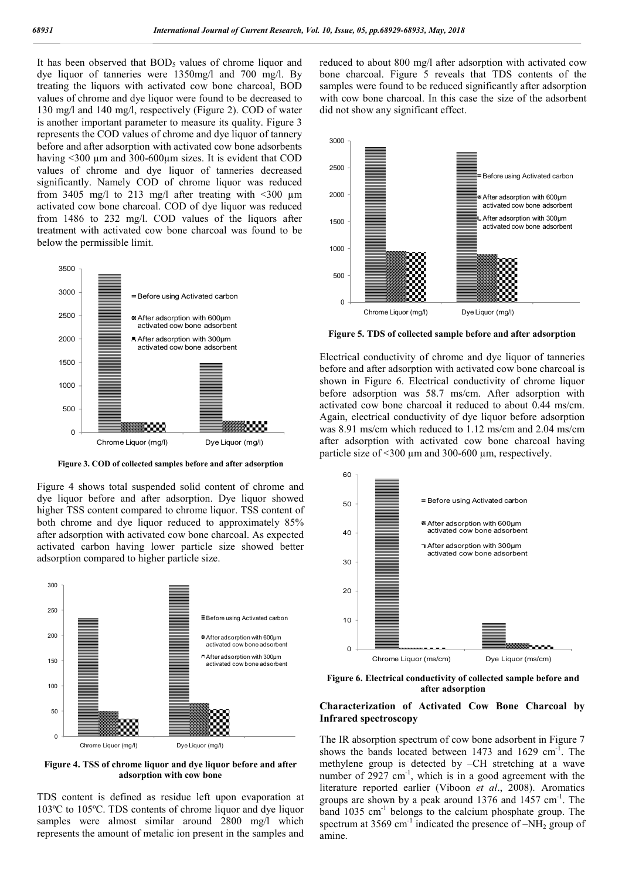It has been observed that  $BOD<sub>5</sub>$  values of chrome liquor and dye liquor of tanneries were 1350mg/l and 700 mg/l. By treating the liquors with activated cow bone charcoal, BOD values of chrome and dye liquor were found to be decreased to 130 mg/l and 140 mg/l, respectively (Figure 2). COD of water is another important parameter to measure its quality. Figure 3 represents the COD values of chrome and dye liquor of tannery before and after adsorption with activated cow bone adsorbents having <300 µm and 300-600µm sizes. It is evident that COD values of chrome and dye liquor of tanneries decreased significantly. Namely COD of chrome liquor was reduced from 3405 mg/l to 213 mg/l after treating with  $\leq 300$  µm activated cow bone charcoal. COD of dye liquor was reduced from 1486 to 232 mg/l. COD values of the liquors after treatment with activated cow bone charcoal was found to be below the permissible limit.



**Figure 3. COD of collected samples before and after adsorption**

Figure 4 shows total suspended solid content of chrome and dye liquor before and after adsorption. Dye liquor showed higher TSS content compared to chrome liquor. TSS content of both chrome and dye liquor reduced to approximately 85% after adsorption with activated cow bone charcoal. As expected activated carbon having lower particle size showed better adsorption compared to higher particle size.



**Figure 4. TSS of chrome liquor and dye liquor before and after adsorption with cow bone**

TDS content is defined as residue left upon evaporation at 103ºC to 105ºC. TDS contents of chrome liquor and dye liquor samples were almost similar around 2800 mg/l which represents the amount of metalic ion present in the samples and

reduced to about 800 mg/l after adsorption with activated cow bone charcoal. Figure 5 reveals that TDS contents of the samples were found to be reduced significantly after adsorption with cow bone charcoal. In this case the size of the adsorbent did not show any significant effect.



**Figure 5. TDS of collected sample before and after adsorption**

Electrical conductivity of chrome and dye liquor of tanneries before and after adsorption with activated cow bone charcoal is shown in Figure 6. Electrical conductivity of chrome liquor before adsorption was 58.7 ms/cm. After adsorption with activated cow bone charcoal it reduced to about 0.44 ms/cm. Again, electrical conductivity of dye liquor before adsorption was 8.91 ms/cm which reduced to 1.12 ms/cm and 2.04 ms/cm after adsorption with activated cow bone charcoal having particle size of  $\leq$ 300  $\mu$ m and 300-600  $\mu$ m, respectively.



**Figure 6. Electrical conductivity of collected sample before and after adsorption**

## **Characterization of Activated Cow Bone Charcoal by Infrared spectroscopy**

The IR absorption spectrum of cow bone adsorbent in Figure 7 shows the bands located between 1473 and 1629  $cm^{-1}$ . The methylene group is detected by –CH stretching at a wave number of  $2927 \text{ cm}^{-1}$ , which is in a good agreement with the literature reported earlier (Viboon *et al*., 2008). Aromatics groups are shown by a peak around 1376 and 1457 cm<sup>-1</sup>. The band 1035 cm<sup>-1</sup> belongs to the calcium phosphate group. The spectrum at 3569 cm<sup>-1</sup> indicated the presence of  $-NH<sub>2</sub>$  group of amine.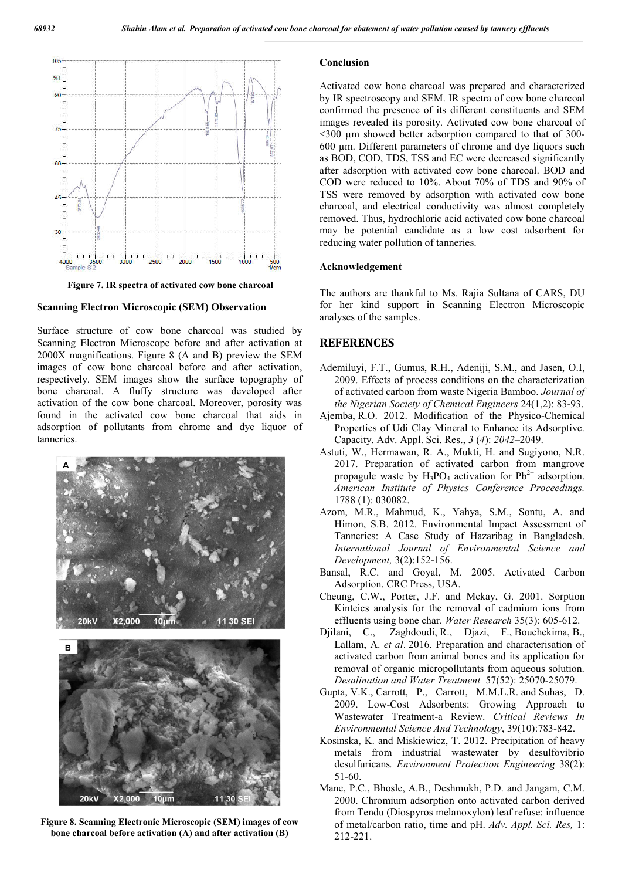

**Figure 7. IR spectra of activated cow bone charcoal**

#### **Scanning Electron Microscopic (SEM) Observation**

Surface structure of cow bone charcoal was studied by Scanning Electron Microscope before and after activation at 2000X magnifications. Figure 8 (A and B) preview the SEM images of cow bone charcoal before and after activation, respectively. SEM images show the surface topography of bone charcoal. A fluffy structure was developed after activation of the cow bone charcoal. Moreover, porosity was found in the activated cow bone charcoal that aids in adsorption of pollutants from chrome and dye liquor of tanneries.



**Figure 8. Scanning Electronic Microscopic (SEM) images of cow bone charcoal before activation (A) and after activation (B)**

#### **Conclusion**

Activated cow bone charcoal was prepared and characterized by IR spectroscopy and SEM. IR spectra of cow bone charcoal confirmed the presence of its different constituents and SEM images revealed its porosity. Activated cow bone charcoal of ˂300 µm showed better adsorption compared to that of 300- 600 µm. Different parameters of chrome and dye liquors such as BOD, COD, TDS, TSS and EC were decreased significantly after adsorption with activated cow bone charcoal. BOD and COD were reduced to 10%. About 70% of TDS and 90% of TSS were removed by adsorption with activated cow bone charcoal, and electrical conductivity was almost completely removed. Thus, hydrochloric acid activated cow bone charcoal may be potential candidate as a low cost adsorbent for reducing water pollution of tanneries.

#### **Acknowledgement**

The authors are thankful to Ms. Rajia Sultana of CARS, DU for her kind support in Scanning Electron Microscopic analyses of the samples.

## **REFERENCES**

- Ademiluyi, F.T., Gumus, R.H., Adeniji, S.M., and Jasen, O.I, 2009. Effects of process conditions on the characterization of activated carbon from waste Nigeria Bamboo. *Journal of the Nigerian Society of Chemical Engineers* 24(1,2): 83-93.
- Ajemba, R.O. 2012. Modification of the Physico-Chemical Properties of Udi Clay Mineral to Enhance its Adsorptive. Capacity. Adv. Appl. Sci. Res., *3* (*4*): *2042*–2049.
- Astuti, W., Hermawan, R. A., Mukti, H. and Sugiyono, N.R. 2017. Preparation of activated carbon from mangrove propagule waste by  $H_3PO_4$  activation for  $Pb^{2+}$  adsorption. *American Institute of Physics Conference Proceedings.*  1788 (1): 030082.
- Azom, M.R., Mahmud, K., Yahya, S.M., Sontu, A. and Himon, S.B. 2012. Environmental Impact Assessment of Tanneries: A Case Study of Hazaribag in Bangladesh. *International Journal of Environmental Science and Development,* 3(2):152-156.
- Bansal, R.C. and Goyal, M. 2005. Activated Carbon Adsorption. CRC Press, USA.
- Cheung, C.W., Porter, J.F. and Mckay, G. 2001. Sorption Kinteics analysis for the removal of cadmium ions from effluents using bone char. *Water Research* 35(3): 605-612.
- Djilani, C., Zaghdoudi, R., Djazi, F., Bouchekima, B., Lallam, A. *et al*. 2016. Preparation and characterisation of activated carbon from animal bones and its application for removal of organic micropollutants from aqueous solution. *Desalination and Water Treatment* 57(52): 25070-25079.
- Gupta, V.K., Carrott, P., Carrott, M.M.L.R. and Suhas, D. 2009. Low-Cost Adsorbents: Growing Approach to Wastewater Treatment-a Review. *Critical Reviews In Environmental Science And Technology*, 39(10):783-842.
- Kosinska, K. and Miskiewicz, T. 2012. Precipitation of heavy metals from industrial wastewater by desulfovibrio desulfuricans*. Environment Protection Engineering* 38(2): 51-60.
- Mane, P.C., Bhosle, A.B., Deshmukh, P.D. and Jangam, C.M. 2000. Chromium adsorption onto activated carbon derived from Tendu (Diospyros melanoxylon) leaf refuse: influence of metal/carbon ratio, time and pH. *Adv. Appl. Sci. Res,* 1: 212-221.